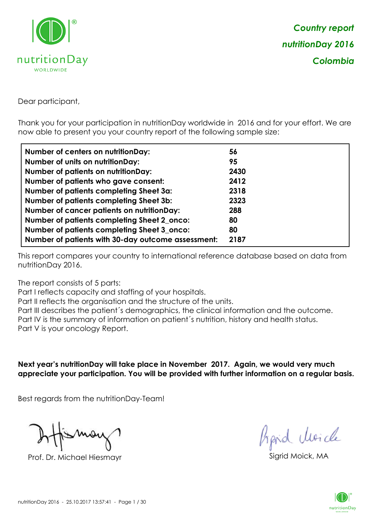

Dear participant,

Thank you for your participation in nutritionDay worldwide in 2016 and for your effort. We are now able to present you your country report of the following sample size:

| Number of centers on nutritionDay:                 | 56   |
|----------------------------------------------------|------|
| <b>Number of units on nutrition Day:</b>           | 95   |
| <b>Number of patients on nutritionDay:</b>         | 2430 |
| Number of patients who gave consent:               | 2412 |
| Number of patients completing Sheet 3a:            | 2318 |
| <b>Number of patients completing Sheet 3b:</b>     | 2323 |
| <b>Number of cancer patients on nutritionDay:</b>  | 288  |
| Number of patients completing Sheet 2_onco:        | 80   |
| Number of patients completing Sheet 3_onco:        | 80   |
| Number of patients with 30-day outcome assessment: | 2187 |

This report compares your country to international reference database based on data from nutritionDay 2016.

The report consists of 5 parts:

Part I reflects capacity and staffing of your hospitals.

Part II reflects the organisation and the structure of the units.

Part III describes the patient´s demographics, the clinical information and the outcome.

Part IV is the summary of information on patient´s nutrition, history and health status.

Part V is your oncology Report.

**Next year's nutritionDay will take place in November 2017. Again, we would very much appreciate your participation. You will be provided with further information on a regular basis.**

Best regards from the nutritionDay-Team!

Prof. Dr. Michael Hiesmayr Sigrid Moick, M

hpid Moick

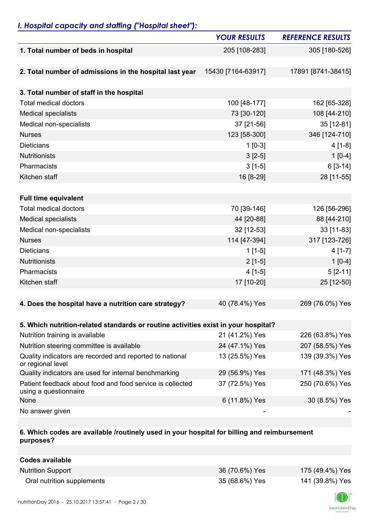## *I. Hospital capacity and staffing ("Hospital sheet"):*

|                                                                                    | <b>YOUR RESULTS</b> | <b>REFERENCE RESULTS</b> |
|------------------------------------------------------------------------------------|---------------------|--------------------------|
| 1. Total number of beds in hospital                                                | 205 [108-283]       | 305 [180-526]            |
|                                                                                    |                     |                          |
| 2. Total number of admissions in the hospital last year                            | 15430 [7164-63917]  | 17891 [8741-38415]       |
|                                                                                    |                     |                          |
| 3. Total number of staff in the hospital                                           |                     |                          |
| <b>Total medical doctors</b>                                                       | 100 [48-177]        | 162 [65-328]             |
| <b>Medical specialists</b>                                                         | 73 [30-120]         | 108 [44-210]             |
| Medical non-specialists                                                            | 37 [21-56]          | 35 [12-81]               |
| <b>Nurses</b>                                                                      | 123 [58-300]        | 346 [124-710]            |
| <b>Dieticians</b>                                                                  | $1$ [0-3]           | $4[1-8]$                 |
| Nutritionists                                                                      | $3 [2-5]$           | $1[0-4]$                 |
| Pharmacists                                                                        | $3[1-5]$            | $6[3-14]$                |
| Kitchen staff                                                                      | 16 [8-29]           | 28 [11-55]               |
|                                                                                    |                     |                          |
| <b>Full time equivalent</b>                                                        |                     |                          |
| <b>Total medical doctors</b>                                                       | 70 [39-146]         | 126 [56-296]             |
| <b>Medical specialists</b>                                                         | 44 [20-88]          | 88 [44-210]              |
| Medical non-specialists                                                            | 32 [12-53]          | 33 [11-83]               |
| <b>Nurses</b>                                                                      | 114 [47-394]        | 317 [123-726]            |
| <b>Dieticians</b>                                                                  | $1[1-5]$            | $4[1-7]$                 |
| Nutritionists                                                                      | $2[1-5]$            | $1[0-4]$                 |
| Pharmacists                                                                        | $4[1-5]$            | $5[2-11]$                |
| Kitchen staff                                                                      | 17 [10-20]          | 25 [12-50]               |
|                                                                                    |                     |                          |
| 4. Does the hospital have a nutrition care strategy?                               | 40 (78.4%) Yes      | 269 (76.0%) Yes          |
|                                                                                    |                     |                          |
| 5. Which nutrition-related standards or routine activities exist in your hospital? |                     |                          |
| Nutrition training is available                                                    | 21 (41.2%) Yes      | 226 (63.8%) Yes          |
| Nutrition steering committee is available                                          | 24 (47.1%) Yes      | 207 (58.5%) Yes          |
| Quality indicators are recorded and reported to national<br>or regional level      | 13 (25.5%) Yes      | 139 (39.3%) Yes          |
| Quality indicators are used for internal benchmarking                              | 29 (56.9%) Yes      | 171 (48.3%) Yes          |
| Patient feedback about food and food service is collected<br>using a questionnaire | 37 (72.5%) Yes      | 250 (70.6%) Yes          |
| None                                                                               | 6 (11.8%) Yes       | 30 (8.5%) Yes            |
| No answer given                                                                    |                     |                          |

#### **6. Which codes are available /routinely used in your hospital for billing and reimbursement purposes?**

| Codes available            |                |                 |
|----------------------------|----------------|-----------------|
| <b>Nutrition Support</b>   | 36 (70.6%) Yes | 175 (49.4%) Yes |
| Oral nutrition supplements | 35 (68.6%) Yes | 141 (39.8%) Yes |

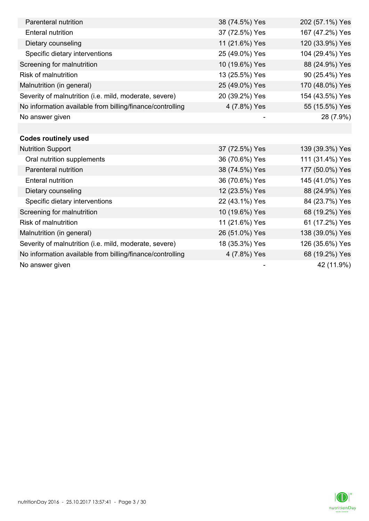| Parenteral nutrition                                      | 38 (74.5%) Yes | 202 (57.1%) Yes |
|-----------------------------------------------------------|----------------|-----------------|
| <b>Enteral nutrition</b>                                  | 37 (72.5%) Yes | 167 (47.2%) Yes |
| Dietary counseling                                        | 11 (21.6%) Yes | 120 (33.9%) Yes |
| Specific dietary interventions                            | 25 (49.0%) Yes | 104 (29.4%) Yes |
| Screening for malnutrition                                | 10 (19.6%) Yes | 88 (24.9%) Yes  |
| <b>Risk of malnutrition</b>                               | 13 (25.5%) Yes | 90 (25.4%) Yes  |
| Malnutrition (in general)                                 | 25 (49.0%) Yes | 170 (48.0%) Yes |
| Severity of malnutrition (i.e. mild, moderate, severe)    | 20 (39.2%) Yes | 154 (43.5%) Yes |
| No information available from billing/finance/controlling | 4 (7.8%) Yes   | 55 (15.5%) Yes  |
| No answer given                                           |                | 28 (7.9%)       |
|                                                           |                |                 |
| <b>Codes routinely used</b>                               |                |                 |
| <b>Nutrition Support</b>                                  | 37 (72.5%) Yes | 139 (39.3%) Yes |
| Oral nutrition supplements                                | 36 (70.6%) Yes | 111 (31.4%) Yes |
| Parenteral nutrition                                      | 38 (74.5%) Yes | 177 (50.0%) Yes |
| <b>Enteral nutrition</b>                                  | 36 (70.6%) Yes | 145 (41.0%) Yes |
| Dietary counseling                                        | 12 (23.5%) Yes | 88 (24.9%) Yes  |
| Specific dietary interventions                            | 22 (43.1%) Yes | 84 (23.7%) Yes  |
| Screening for malnutrition                                | 10 (19.6%) Yes | 68 (19.2%) Yes  |
| <b>Risk of malnutrition</b>                               | 11 (21.6%) Yes | 61 (17.2%) Yes  |
| Malnutrition (in general)                                 | 26 (51.0%) Yes | 138 (39.0%) Yes |
| Severity of malnutrition (i.e. mild, moderate, severe)    | 18 (35.3%) Yes | 126 (35.6%) Yes |
| No information available from billing/finance/controlling | 4 (7.8%) Yes   | 68 (19.2%) Yes  |
| No answer given                                           |                | 42 (11.9%)      |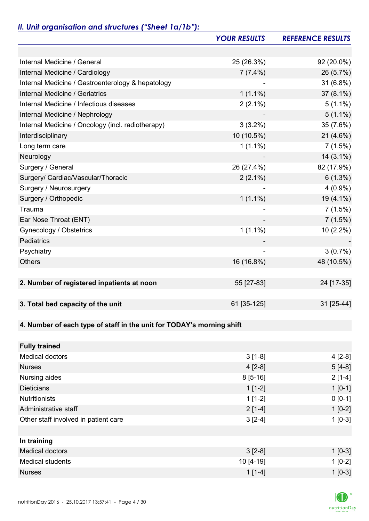# *II. Unit organisation and structures ("Sheet 1a/1b"):*

|                                                                       | <b>YOUR RESULTS</b> | <b>REFERENCE RESULTS</b> |
|-----------------------------------------------------------------------|---------------------|--------------------------|
|                                                                       |                     |                          |
| Internal Medicine / General                                           | 25 (26.3%)          | 92 (20.0%)               |
| Internal Medicine / Cardiology                                        | $7(7.4\%)$          | 26 (5.7%)                |
| Internal Medicine / Gastroenterology & hepatology                     |                     | 31 (6.8%)                |
| <b>Internal Medicine / Geriatrics</b>                                 | $1(1.1\%)$          | 37 (8.1%)                |
| Internal Medicine / Infectious diseases                               | $2(2.1\%)$          | $5(1.1\%)$               |
| Internal Medicine / Nephrology                                        |                     | $5(1.1\%)$               |
| Internal Medicine / Oncology (incl. radiotherapy)                     | $3(3.2\%)$          | 35 (7.6%)                |
| Interdisciplinary                                                     | 10 (10.5%)          | $21(4.6\%)$              |
| Long term care                                                        | $1(1.1\%)$          | 7(1.5%)                  |
| Neurology                                                             |                     | $14(3.1\%)$              |
| Surgery / General                                                     | 26 (27.4%)          | 82 (17.9%)               |
| Surgery/ Cardiac/Vascular/Thoracic                                    | $2(2.1\%)$          | $6(1.3\%)$               |
| Surgery / Neurosurgery                                                |                     | $4(0.9\%)$               |
| Surgery / Orthopedic                                                  | $1(1.1\%)$          | 19 (4.1%)                |
| Trauma                                                                |                     | 7(1.5%)                  |
| Ear Nose Throat (ENT)                                                 |                     | 7(1.5%)                  |
| Gynecology / Obstetrics                                               | $1(1.1\%)$          | 10 (2.2%)                |
| Pediatrics                                                            |                     |                          |
| Psychiatry                                                            |                     | $3(0.7\%)$               |
| <b>Others</b>                                                         | 16 (16.8%)          | 48 (10.5%)               |
|                                                                       |                     |                          |
| 2. Number of registered inpatients at noon                            | 55 [27-83]          | 24 [17-35]               |
|                                                                       |                     |                          |
| 3. Total bed capacity of the unit                                     | 61 [35-125]         | 31 [25-44]               |
|                                                                       |                     |                          |
| 4. Number of each type of staff in the unit for TODAY's morning shift |                     |                          |
|                                                                       |                     |                          |
| <b>Fully trained</b>                                                  |                     |                          |
| <b>Medical doctors</b>                                                | $3[1-8]$            | $4[2-8]$                 |
| <b>Nurses</b>                                                         | $4[2-8]$            | $5[4-8]$                 |
| Nursing aides                                                         | $8[5-16]$           | $2[1-4]$                 |
| <b>Dieticians</b>                                                     | $1[1-2]$            | $1[0-1]$                 |
| <b>Nutritionists</b>                                                  | $1[1-2]$            | $0 [0-1]$                |
| Administrative staff                                                  | $2[1-4]$            | $1[0-2]$                 |
| Other staff involved in patient care                                  | $3[2-4]$            | $1[0-3]$                 |
|                                                                       |                     |                          |
| In training                                                           |                     |                          |
| <b>Medical doctors</b>                                                | $3 [2-8]$           | $1[0-3]$                 |
| <b>Medical students</b>                                               | 10 [4-19]           | $1[0-2]$                 |
| <b>Nurses</b>                                                         | $1[1-4]$            | $1[0-3]$                 |

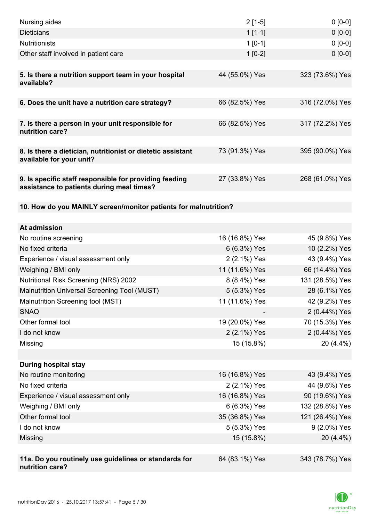| Nursing aides                                                                                       | $2[1-5]$                       | $0[0-0]$                          |
|-----------------------------------------------------------------------------------------------------|--------------------------------|-----------------------------------|
| <b>Dieticians</b>                                                                                   | $1[1-1]$                       | $0[0-0]$                          |
| <b>Nutritionists</b>                                                                                | $1[0-1]$                       | $0[0-0]$                          |
| Other staff involved in patient care                                                                | $1[0-2]$                       | $0 [0-0]$                         |
|                                                                                                     |                                |                                   |
| 5. Is there a nutrition support team in your hospital<br>available?                                 | 44 (55.0%) Yes                 | 323 (73.6%) Yes                   |
| 6. Does the unit have a nutrition care strategy?                                                    | 66 (82.5%) Yes                 | 316 (72.0%) Yes                   |
| 7. Is there a person in your unit responsible for<br>nutrition care?                                | 66 (82.5%) Yes                 | 317 (72.2%) Yes                   |
| 8. Is there a dietician, nutritionist or dietetic assistant                                         | 73 (91.3%) Yes                 | 395 (90.0%) Yes                   |
| available for your unit?                                                                            |                                |                                   |
| 9. Is specific staff responsible for providing feeding<br>assistance to patients during meal times? | 27 (33.8%) Yes                 | 268 (61.0%) Yes                   |
| 10. How do you MAINLY screen/monitor patients for malnutrition?                                     |                                |                                   |
|                                                                                                     |                                |                                   |
| At admission                                                                                        |                                |                                   |
| No routine screening                                                                                | 16 (16.8%) Yes                 | 45 (9.8%) Yes                     |
| No fixed criteria                                                                                   | 6 (6.3%) Yes                   | 10 (2.2%) Yes                     |
| Experience / visual assessment only                                                                 | 2 (2.1%) Yes                   | 43 (9.4%) Yes                     |
| Weighing / BMI only<br><b>Nutritional Risk Screening (NRS) 2002</b>                                 | 11 (11.6%) Yes<br>8 (8.4%) Yes | 66 (14.4%) Yes<br>131 (28.5%) Yes |
| Malnutrition Universal Screening Tool (MUST)                                                        | 5 (5.3%) Yes                   | 28 (6.1%) Yes                     |
| Malnutrition Screening tool (MST)                                                                   | 11 (11.6%) Yes                 | 42 (9.2%) Yes                     |
| <b>SNAQ</b>                                                                                         |                                | 2 (0.44%) Yes                     |
| Other formal tool                                                                                   | 19 (20.0%) Yes                 | 70 (15.3%) Yes                    |
| I do not know                                                                                       | 2 (2.1%) Yes                   | 2 (0.44%) Yes                     |
| Missing                                                                                             | 15 (15.8%)                     | 20 (4.4%)                         |
|                                                                                                     |                                |                                   |
| <b>During hospital stay</b>                                                                         |                                |                                   |
| No routine monitoring                                                                               | 16 (16.8%) Yes                 | 43 (9.4%) Yes                     |
| No fixed criteria                                                                                   | 2 (2.1%) Yes                   | 44 (9.6%) Yes                     |
| Experience / visual assessment only                                                                 | 16 (16.8%) Yes                 | 90 (19.6%) Yes                    |
| Weighing / BMI only                                                                                 | 6 (6.3%) Yes                   | 132 (28.8%) Yes                   |
| Other formal tool                                                                                   | 35 (36.8%) Yes                 | 121 (26.4%) Yes                   |
| I do not know                                                                                       | 5 (5.3%) Yes                   | 9 (2.0%) Yes                      |
| Missing                                                                                             | 15 (15.8%)                     | 20 (4.4%)                         |
|                                                                                                     |                                |                                   |
| 11a. Do you routinely use guidelines or standards for<br>nutrition care?                            | 64 (83.1%) Yes                 | 343 (78.7%) Yes                   |

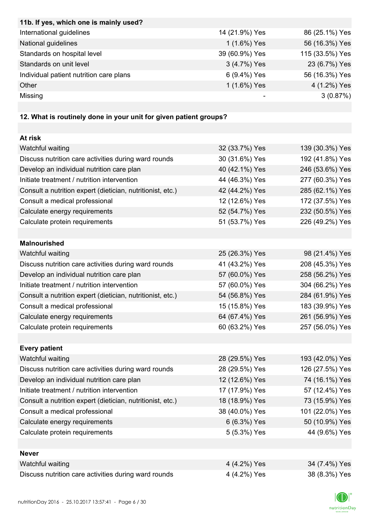| 11b. If yes, which one is mainly used?                            |                |                 |
|-------------------------------------------------------------------|----------------|-----------------|
| International guidelines                                          | 14 (21.9%) Yes | 86 (25.1%) Yes  |
| National guidelines                                               | 1 (1.6%) Yes   | 56 (16.3%) Yes  |
| Standards on hospital level                                       | 39 (60.9%) Yes | 115 (33.5%) Yes |
| Standards on unit level                                           | 3 (4.7%) Yes   | 23 (6.7%) Yes   |
| Individual patient nutrition care plans                           | 6 (9.4%) Yes   | 56 (16.3%) Yes  |
| Other                                                             | 1 (1.6%) Yes   | 4 (1.2%) Yes    |
| Missing                                                           |                | 3(0.87%)        |
|                                                                   |                |                 |
| 12. What is routinely done in your unit for given patient groups? |                |                 |
|                                                                   |                |                 |
| At risk                                                           |                |                 |
| Watchful waiting                                                  | 32 (33.7%) Yes | 139 (30.3%) Yes |
| Discuss nutrition care activities during ward rounds              | 30 (31.6%) Yes | 192 (41.8%) Yes |
| Develop an individual nutrition care plan                         | 40 (42.1%) Yes | 246 (53.6%) Yes |
| Initiate treatment / nutrition intervention                       | 44 (46.3%) Yes | 277 (60.3%) Yes |
| Consult a nutrition expert (dietician, nutritionist, etc.)        | 42 (44.2%) Yes | 285 (62.1%) Yes |
| Consult a medical professional                                    | 12 (12.6%) Yes | 172 (37.5%) Yes |
| Calculate energy requirements                                     | 52 (54.7%) Yes | 232 (50.5%) Yes |
| Calculate protein requirements                                    | 51 (53.7%) Yes | 226 (49.2%) Yes |
|                                                                   |                |                 |
| <b>Malnourished</b>                                               |                |                 |
| Watchful waiting                                                  | 25 (26.3%) Yes | 98 (21.4%) Yes  |
| Discuss nutrition care activities during ward rounds              | 41 (43.2%) Yes | 208 (45.3%) Yes |
| Develop an individual nutrition care plan                         | 57 (60.0%) Yes | 258 (56.2%) Yes |
| Initiate treatment / nutrition intervention                       | 57 (60.0%) Yes | 304 (66.2%) Yes |
| Consult a nutrition expert (dietician, nutritionist, etc.)        | 54 (56.8%) Yes | 284 (61.9%) Yes |
| Consult a medical professional                                    | 15 (15.8%) Yes | 183 (39.9%) Yes |
| Calculate energy requirements                                     | 64 (67.4%) Yes | 261 (56.9%) Yes |
| Calculate protein requirements                                    | 60 (63.2%) Yes | 257 (56.0%) Yes |
|                                                                   |                |                 |
| <b>Every patient</b>                                              |                |                 |
| Watchful waiting                                                  | 28 (29.5%) Yes | 193 (42.0%) Yes |
| Discuss nutrition care activities during ward rounds              | 28 (29.5%) Yes | 126 (27.5%) Yes |
| Develop an individual nutrition care plan                         | 12 (12.6%) Yes | 74 (16.1%) Yes  |
| Initiate treatment / nutrition intervention                       | 17 (17.9%) Yes | 57 (12.4%) Yes  |
| Consult a nutrition expert (dietician, nutritionist, etc.)        | 18 (18.9%) Yes | 73 (15.9%) Yes  |
| Consult a medical professional                                    | 38 (40.0%) Yes | 101 (22.0%) Yes |
| Calculate energy requirements                                     | 6 (6.3%) Yes   | 50 (10.9%) Yes  |
| Calculate protein requirements                                    | 5 (5.3%) Yes   | 44 (9.6%) Yes   |
|                                                                   |                |                 |
| <b>Never</b>                                                      |                |                 |
| Watchful waiting                                                  | 4 (4.2%) Yes   | 34 (7.4%) Yes   |
| Discuss nutrition care activities during ward rounds              | 4 (4.2%) Yes   | 38 (8.3%) Yes   |

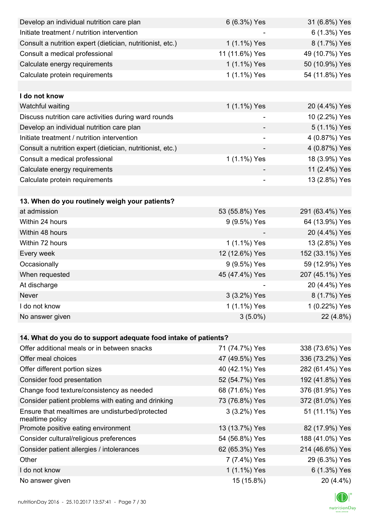| Develop an individual nutrition care plan                          | 6 (6.3%) Yes             | 31 (6.8%) Yes   |
|--------------------------------------------------------------------|--------------------------|-----------------|
| Initiate treatment / nutrition intervention                        |                          | 6 (1.3%) Yes    |
| Consult a nutrition expert (dietician, nutritionist, etc.)         | 1 (1.1%) Yes             | 8 (1.7%) Yes    |
| Consult a medical professional                                     | 11 (11.6%) Yes           | 49 (10.7%) Yes  |
| Calculate energy requirements                                      | 1 (1.1%) Yes             | 50 (10.9%) Yes  |
| Calculate protein requirements                                     | 1 (1.1%) Yes             | 54 (11.8%) Yes  |
|                                                                    |                          |                 |
| I do not know                                                      |                          |                 |
| Watchful waiting                                                   | 1 (1.1%) Yes             | 20 (4.4%) Yes   |
| Discuss nutrition care activities during ward rounds               |                          | 10 (2.2%) Yes   |
| Develop an individual nutrition care plan                          |                          | 5 (1.1%) Yes    |
| Initiate treatment / nutrition intervention                        | $\overline{\phantom{0}}$ | 4 (0.87%) Yes   |
| Consult a nutrition expert (dietician, nutritionist, etc.)         |                          | 4 (0.87%) Yes   |
| Consult a medical professional                                     | 1 (1.1%) Yes             | 18 (3.9%) Yes   |
| Calculate energy requirements                                      |                          | 11 (2.4%) Yes   |
| Calculate protein requirements                                     |                          | 13 (2.8%) Yes   |
|                                                                    |                          |                 |
| 13. When do you routinely weigh your patients?                     |                          |                 |
| at admission                                                       | 53 (55.8%) Yes           | 291 (63.4%) Yes |
| Within 24 hours                                                    | 9 (9.5%) Yes             | 64 (13.9%) Yes  |
| Within 48 hours                                                    |                          | 20 (4.4%) Yes   |
| Within 72 hours                                                    | 1 (1.1%) Yes             | 13 (2.8%) Yes   |
| Every week                                                         | 12 (12.6%) Yes           | 152 (33.1%) Yes |
| Occasionally                                                       | 9 (9.5%) Yes             | 59 (12.9%) Yes  |
| When requested                                                     | 45 (47.4%) Yes           | 207 (45.1%) Yes |
| At discharge                                                       |                          | 20 (4.4%) Yes   |
| Never                                                              | 3 (3.2%) Yes             | 8 (1.7%) Yes    |
| I do not know                                                      | 1 (1.1%) Yes             | 1 (0.22%) Yes   |
| No answer given                                                    | $3(5.0\%)$               | 22 (4.8%)       |
|                                                                    |                          |                 |
| 14. What do you do to support adequate food intake of patients?    |                          |                 |
| Offer additional meals or in between snacks                        | 71 (74.7%) Yes           | 338 (73.6%) Yes |
| Offer meal choices                                                 | 47 (49.5%) Yes           | 336 (73.2%) Yes |
| Offer different portion sizes                                      | 40 (42.1%) Yes           | 282 (61.4%) Yes |
| Consider food presentation                                         | 52 (54.7%) Yes           | 192 (41.8%) Yes |
| Change food texture/consistency as needed                          | 68 (71.6%) Yes           | 376 (81.9%) Yes |
| Consider patient problems with eating and drinking                 | 73 (76.8%) Yes           | 372 (81.0%) Yes |
| Ensure that mealtimes are undisturbed/protected<br>mealtime policy | 3 (3.2%) Yes             | 51 (11.1%) Yes  |
| Promote positive eating environment                                | 13 (13.7%) Yes           | 82 (17.9%) Yes  |
| Consider cultural/religious preferences                            | 54 (56.8%) Yes           | 188 (41.0%) Yes |
| Consider patient allergies / intolerances                          | 62 (65.3%) Yes           | 214 (46.6%) Yes |
| Other                                                              | 7 (7.4%) Yes             | 29 (6.3%) Yes   |
| I do not know                                                      | 1 (1.1%) Yes             | 6 (1.3%) Yes    |
| No answer given                                                    | 15 (15.8%)               | 20 (4.4%)       |

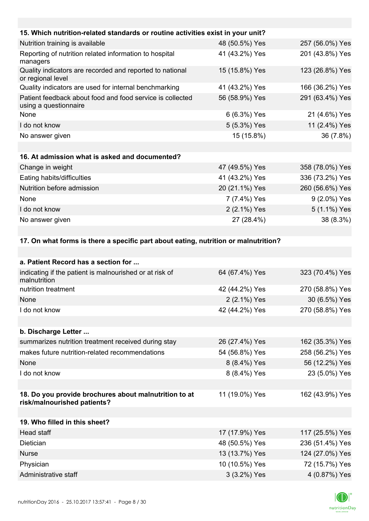| 15. Which nutrition-related standards or routine activities exist in your unit?      |                |                 |
|--------------------------------------------------------------------------------------|----------------|-----------------|
| Nutrition training is available                                                      | 48 (50.5%) Yes | 257 (56.0%) Yes |
| Reporting of nutrition related information to hospital<br>managers                   | 41 (43.2%) Yes | 201 (43.8%) Yes |
| Quality indicators are recorded and reported to national<br>or regional level        | 15 (15.8%) Yes | 123 (26.8%) Yes |
| Quality indicators are used for internal benchmarking                                | 41 (43.2%) Yes | 166 (36.2%) Yes |
| Patient feedback about food and food service is collected<br>using a questionnaire   | 56 (58.9%) Yes | 291 (63.4%) Yes |
| None                                                                                 | 6 (6.3%) Yes   | 21 (4.6%) Yes   |
| I do not know                                                                        | 5 (5.3%) Yes   | 11 (2.4%) Yes   |
| No answer given                                                                      | 15 (15.8%)     | 36 (7.8%)       |
| 16. At admission what is asked and documented?                                       |                |                 |
| Change in weight                                                                     | 47 (49.5%) Yes | 358 (78.0%) Yes |
| Eating habits/difficulties                                                           | 41 (43.2%) Yes | 336 (73.2%) Yes |
| Nutrition before admission                                                           | 20 (21.1%) Yes | 260 (56.6%) Yes |
| None                                                                                 | 7 (7.4%) Yes   | 9 (2.0%) Yes    |
| I do not know                                                                        | 2 (2.1%) Yes   | 5 (1.1%) Yes    |
| No answer given                                                                      | 27 (28.4%)     | 38 (8.3%)       |
|                                                                                      |                |                 |
| 17. On what forms is there a specific part about eating, nutrition or malnutrition?  |                |                 |
|                                                                                      |                |                 |
| a. Patient Record has a section for                                                  |                |                 |
| indicating if the patient is malnourished or at risk of<br>malnutrition              | 64 (67.4%) Yes | 323 (70.4%) Yes |
| nutrition treatment                                                                  | 42 (44.2%) Yes | 270 (58.8%) Yes |
| None                                                                                 | 2 (2.1%) Yes   | 30 (6.5%) Yes   |
| I do not know                                                                        | 42 (44.2%) Yes | 270 (58.8%) Yes |
|                                                                                      |                |                 |
| b. Discharge Letter                                                                  |                |                 |
| summarizes nutrition treatment received during stay                                  | 26 (27.4%) Yes | 162 (35.3%) Yes |
| makes future nutrition-related recommendations                                       | 54 (56.8%) Yes | 258 (56.2%) Yes |
| None                                                                                 | 8 (8.4%) Yes   | 56 (12.2%) Yes  |
| I do not know                                                                        | 8 (8.4%) Yes   | 23 (5.0%) Yes   |
|                                                                                      |                |                 |
| 18. Do you provide brochures about malnutrition to at<br>risk/malnourished patients? | 11 (19.0%) Yes | 162 (43.9%) Yes |
|                                                                                      |                |                 |
| 19. Who filled in this sheet?                                                        |                |                 |
| Head staff                                                                           | 17 (17.9%) Yes | 117 (25.5%) Yes |

| Head staff           | 17 (17.9%) Yes | 117 (25.5%) Yes |
|----------------------|----------------|-----------------|
| <b>Dietician</b>     | 48 (50.5%) Yes | 236 (51.4%) Yes |
| <b>Nurse</b>         | 13 (13.7%) Yes | 124 (27.0%) Yes |
| Physician            | 10 (10.5%) Yes | 72 (15.7%) Yes  |
| Administrative staff | 3 (3.2%) Yes   | 4 (0.87%) Yes   |

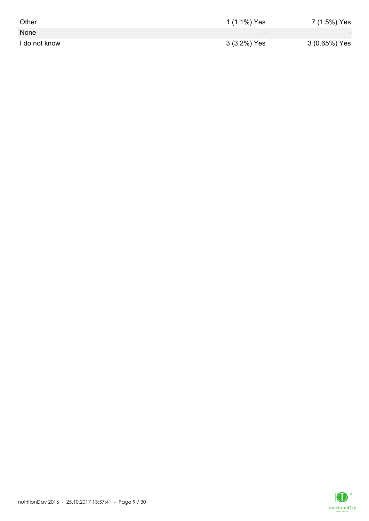| Other         | 1 (1.1%) Yes             | 7 (1.5%) Yes             |
|---------------|--------------------------|--------------------------|
| None          | $\overline{\phantom{0}}$ | $\overline{\phantom{0}}$ |
| I do not know | 3 (3.2%) Yes             | 3 (0.65%) Yes            |

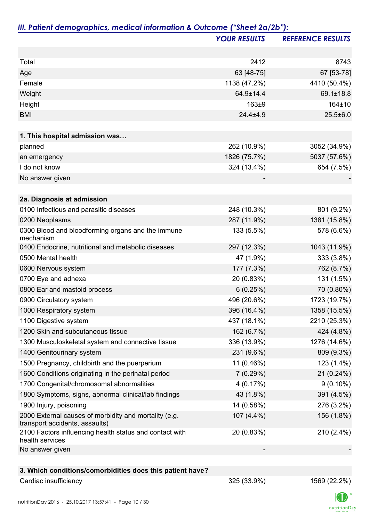|                                                                                         | <b>YOUR RESULTS</b> | <b>REFERENCE RESULTS</b> |
|-----------------------------------------------------------------------------------------|---------------------|--------------------------|
|                                                                                         |                     |                          |
| Total                                                                                   | 2412                | 8743                     |
| Age                                                                                     | 63 [48-75]          | 67 [53-78]               |
| Female                                                                                  | 1138 (47.2%)        | 4410 (50.4%)             |
| Weight                                                                                  | 64.9±14.4           | 69.1±18.8                |
| Height                                                                                  | 163±9               | 164±10                   |
| <b>BMI</b>                                                                              | $24.4 + 4.9$        | $25.5 \pm 6.0$           |
| 1. This hospital admission was                                                          |                     |                          |
| planned                                                                                 | 262 (10.9%)         | 3052 (34.9%)             |
| an emergency                                                                            | 1826 (75.7%)        | 5037 (57.6%)             |
| I do not know                                                                           | 324 (13.4%)         | 654 (7.5%)               |
| No answer given                                                                         |                     |                          |
|                                                                                         |                     |                          |
| 2a. Diagnosis at admission                                                              |                     |                          |
| 0100 Infectious and parasitic diseases                                                  | 248 (10.3%)         | 801 (9.2%)               |
| 0200 Neoplasms                                                                          | 287 (11.9%)         | 1381 (15.8%)             |
| 0300 Blood and bloodforming organs and the immune<br>mechanism                          | 133 (5.5%)          | 578 (6.6%)               |
| 0400 Endocrine, nutritional and metabolic diseases                                      | 297 (12.3%)         | 1043 (11.9%)             |
| 0500 Mental health                                                                      | 47 (1.9%)           | 333 (3.8%)               |
| 0600 Nervous system                                                                     | 177 (7.3%)          | 762 (8.7%)               |
| 0700 Eye and adnexa                                                                     | 20 (0.83%)          | 131 (1.5%)               |
| 0800 Ear and mastoid process                                                            | 6(0.25%)            | 70 (0.80%)               |
| 0900 Circulatory system                                                                 | 496 (20.6%)         | 1723 (19.7%)             |
| 1000 Respiratory system                                                                 | 396 (16.4%)         | 1358 (15.5%)             |
| 1100 Digestive system                                                                   | 437 (18.1%)         | 2210 (25.3%)             |
| 1200 Skin and subcutaneous tissue                                                       | 162 (6.7%)          | 424 (4.8%)               |
| 1300 Musculoskeletal system and connective tissue                                       | 336 (13.9%)         | 1276 (14.6%)             |
| 1400 Genitourinary system                                                               | 231 (9.6%)          | 809 (9.3%)               |
| 1500 Pregnancy, childbirth and the puerperium                                           | 11 (0.46%)          | 123 (1.4%)               |
| 1600 Conditions originating in the perinatal period                                     | 7(0.29%)            | 21(0.24%)                |
| 1700 Congenital/chromosomal abnormalities                                               | 4(0.17%)            | $9(0.10\%)$              |
| 1800 Symptoms, signs, abnormal clinical/lab findings                                    | 43 (1.8%)           | 391 (4.5%)               |
| 1900 Injury, poisoning                                                                  | 14 (0.58%)          | 276 (3.2%)               |
| 2000 External causes of morbidity and mortality (e.g.<br>transport accidents, assaults) | 107 (4.4%)          | 156 (1.8%)               |
| 2100 Factors influencing health status and contact with<br>health services              | 20 (0.83%)          | 210 (2.4%)               |
| No answer given                                                                         |                     |                          |
| 3. Which conditions/comorbidities does this patient have?                               |                     |                          |

## Cardiac insufficiency 325 (33.9%) 1569 (22.2%)

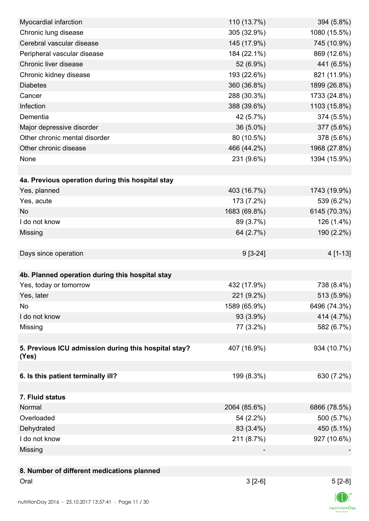| Myocardial infarction                                | 110 (13.7%)  | 394 (5.8%)     |
|------------------------------------------------------|--------------|----------------|
| Chronic lung disease                                 | 305 (32.9%)  | 1080 (15.5%)   |
| Cerebral vascular disease                            | 145 (17.9%)  | 745 (10.9%)    |
| Peripheral vascular disease                          | 184 (22.1%)  | 869 (12.6%)    |
| Chronic liver disease                                | 52 (6.9%)    | 441 (6.5%)     |
| Chronic kidney disease                               | 193 (22.6%)  | 821 (11.9%)    |
| <b>Diabetes</b>                                      | 360 (36.8%)  | 1899 (26.8%)   |
| Cancer                                               | 288 (30.3%)  | 1733 (24.8%)   |
| Infection                                            | 388 (39.6%)  | 1103 (15.8%)   |
| Dementia                                             | 42 (5.7%)    | 374 (5.5%)     |
| Major depressive disorder                            | 36 (5.0%)    | 377 (5.6%)     |
| Other chronic mental disorder                        | 80 (10.5%)   | 378 (5.6%)     |
| Other chronic disease                                | 466 (44.2%)  | 1968 (27.8%)   |
| None                                                 | 231 (9.6%)   | 1394 (15.9%)   |
|                                                      |              |                |
| 4a. Previous operation during this hospital stay     |              |                |
| Yes, planned                                         | 403 (16.7%)  | 1743 (19.9%)   |
| Yes, acute                                           | 173 (7.2%)   | 539 (6.2%)     |
| <b>No</b>                                            | 1683 (69.8%) | 6145 (70.3%)   |
| I do not know                                        | 89 (3.7%)    | 126 (1.4%)     |
| Missing                                              | 64 (2.7%)    | 190 (2.2%)     |
|                                                      |              |                |
| Days since operation                                 | $9[3-24]$    | 4 [1-13]       |
|                                                      |              |                |
| 4b. Planned operation during this hospital stay      |              |                |
| Yes, today or tomorrow                               | 432 (17.9%)  | 738 (8.4%)     |
| Yes, later                                           | 221 (9.2%)   | 513 (5.9%)     |
| No                                                   | 1589 (65.9%) | 6496 (74.3%)   |
| I do not know                                        | 93 (3.9%)    | 414 (4.7%)     |
| Missing                                              | 77 (3.2%)    | 582 (6.7%)     |
|                                                      |              |                |
| 5. Previous ICU admission during this hospital stay? | 407 (16.9%)  | 934 (10.7%)    |
| (Yes)                                                |              |                |
|                                                      |              |                |
| 6. Is this patient terminally ill?                   | 199 (8.3%)   | 630 (7.2%)     |
|                                                      |              |                |
| 7. Fluid status                                      |              |                |
| Normal                                               | 2064 (85.6%) | 6866 (78.5%)   |
| Overloaded                                           | 54 (2.2%)    | 500 (5.7%)     |
| Dehydrated                                           | 83 (3.4%)    | 450 (5.1%)     |
| I do not know                                        | 211 (8.7%)   | 927 (10.6%)    |
| Missing                                              |              |                |
|                                                      |              |                |
| 8. Number of different medications planned           |              |                |
| Oral                                                 | $3[2-6]$     | $5[2-8]$       |
|                                                      |              | $\blacksquare$ |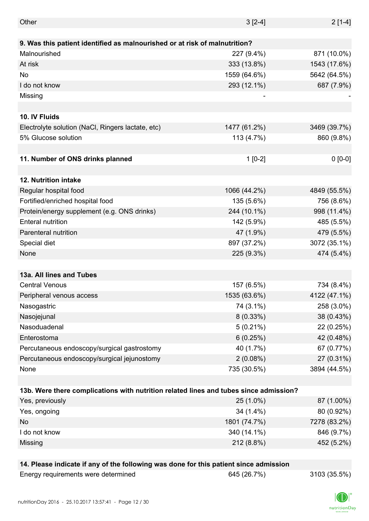| Other                                                                                 | $3[2-4]$     | $2[1-4]$     |
|---------------------------------------------------------------------------------------|--------------|--------------|
|                                                                                       |              |              |
| 9. Was this patient identified as malnourished or at risk of malnutrition?            |              |              |
| Malnourished                                                                          | 227 (9.4%)   | 871 (10.0%)  |
| At risk                                                                               | 333 (13.8%)  | 1543 (17.6%) |
| No                                                                                    | 1559 (64.6%) | 5642 (64.5%) |
| I do not know                                                                         | 293 (12.1%)  | 687 (7.9%)   |
| Missing                                                                               |              |              |
|                                                                                       |              |              |
| 10. IV Fluids                                                                         |              |              |
| Electrolyte solution (NaCl, Ringers lactate, etc)                                     | 1477 (61.2%) | 3469 (39.7%) |
| 5% Glucose solution                                                                   | 113 (4.7%)   | 860 (9.8%)   |
|                                                                                       |              |              |
| 11. Number of ONS drinks planned                                                      | $1[0-2]$     | $0 [0-0]$    |
|                                                                                       |              |              |
| 12. Nutrition intake                                                                  |              |              |
| Regular hospital food                                                                 | 1066 (44.2%) | 4849 (55.5%) |
| Fortified/enriched hospital food                                                      | 135 (5.6%)   | 756 (8.6%)   |
| Protein/energy supplement (e.g. ONS drinks)                                           | 244 (10.1%)  | 998 (11.4%)  |
| <b>Enteral nutrition</b>                                                              | 142 (5.9%)   | 485 (5.5%)   |
| Parenteral nutrition                                                                  | 47 (1.9%)    | 479 (5.5%)   |
| Special diet                                                                          | 897 (37.2%)  | 3072 (35.1%) |
| None                                                                                  | 225 (9.3%)   | 474 (5.4%)   |
|                                                                                       |              |              |
| 13a. All lines and Tubes                                                              |              |              |
| <b>Central Venous</b>                                                                 | 157 (6.5%)   | 734 (8.4%)   |
| Peripheral venous access                                                              | 1535 (63.6%) | 4122 (47.1%) |
| Nasogastric                                                                           | 74 (3.1%)    | 258 (3.0%)   |
| Nasojejunal                                                                           | $8(0.33\%)$  | 38 (0.43%)   |
| Nasoduadenal                                                                          | $5(0.21\%)$  | 22 (0.25%)   |
| Enterostoma                                                                           | 6(0.25%)     | 42 (0.48%)   |
| Percutaneous endoscopy/surgical gastrostomy                                           | 40 (1.7%)    | 67 (0.77%)   |
| Percutaneous endoscopy/surgical jejunostomy                                           | 2(0.08%)     | 27 (0.31%)   |
| None                                                                                  | 735 (30.5%)  | 3894 (44.5%) |
|                                                                                       |              |              |
| 13b. Were there complications with nutrition related lines and tubes since admission? |              |              |
| Yes, previously                                                                       | 25 (1.0%)    | 87 (1.00%)   |
| Yes, ongoing                                                                          | 34 (1.4%)    | 80 (0.92%)   |
| <b>No</b>                                                                             | 1801 (74.7%) | 7278 (83.2%) |
| I do not know                                                                         | 340 (14.1%)  | 846 (9.7%)   |
| Missing                                                                               | 212 (8.8%)   | 452 (5.2%)   |
|                                                                                       |              |              |
| 14. Please indicate if any of the following was done for this patient since admission |              |              |

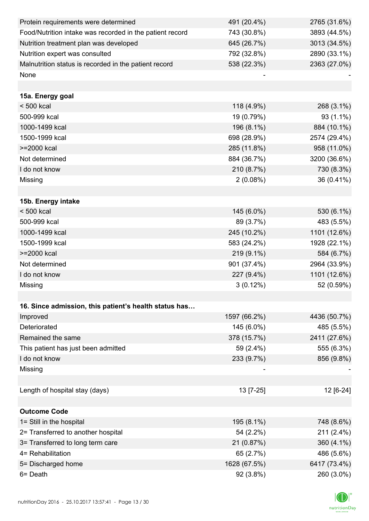| Protein requirements were determined                     | 491 (20.4%)  | 2765 (31.6%) |
|----------------------------------------------------------|--------------|--------------|
| Food/Nutrition intake was recorded in the patient record | 743 (30.8%)  | 3893 (44.5%) |
| Nutrition treatment plan was developed                   | 645 (26.7%)  | 3013 (34.5%) |
| Nutrition expert was consulted                           | 792 (32.8%)  | 2890 (33.1%) |
| Malnutrition status is recorded in the patient record    | 538 (22.3%)  | 2363 (27.0%) |
| None                                                     |              |              |
|                                                          |              |              |
| 15a. Energy goal                                         |              |              |
| < 500 kcal                                               | 118 (4.9%)   | 268 (3.1%)   |
| 500-999 kcal                                             | 19 (0.79%)   | 93 (1.1%)    |
| 1000-1499 kcal                                           | 196 (8.1%)   | 884 (10.1%)  |
| 1500-1999 kcal                                           | 698 (28.9%)  | 2574 (29.4%) |
| >=2000 kcal                                              | 285 (11.8%)  | 958 (11.0%)  |
| Not determined                                           | 884 (36.7%)  | 3200 (36.6%) |
| I do not know                                            | 210 (8.7%)   | 730 (8.3%)   |
| Missing                                                  | $2(0.08\%)$  | 36 (0.41%)   |
|                                                          |              |              |
| 15b. Energy intake                                       |              |              |
| $< 500$ kcal                                             | 145 (6.0%)   | 530 (6.1%)   |
| 500-999 kcal                                             | 89 (3.7%)    | 483 (5.5%)   |
| 1000-1499 kcal                                           | 245 (10.2%)  | 1101 (12.6%) |
| 1500-1999 kcal                                           | 583 (24.2%)  | 1928 (22.1%) |
| >=2000 kcal                                              | 219 (9.1%)   | 584 (6.7%)   |
| Not determined                                           | 901 (37.4%)  | 2964 (33.9%) |
| I do not know                                            | 227 (9.4%)   | 1101 (12.6%) |
| Missing                                                  | $3(0.12\%)$  | 52 (0.59%)   |
|                                                          |              |              |
| 16. Since admission, this patient's health status has    |              |              |
| Improved                                                 | 1597 (66.2%) | 4436 (50.7%) |
| Deteriorated                                             | 145 (6.0%)   | 485 (5.5%)   |
| Remained the same                                        | 378 (15.7%)  | 2411 (27.6%) |
| This patient has just been admitted                      | 59 (2.4%)    | 555 (6.3%)   |
| I do not know                                            | 233 (9.7%)   | 856 (9.8%)   |
| Missing                                                  |              |              |
|                                                          |              |              |
| Length of hospital stay (days)                           | 13 [7-25]    | 12 [6-24]    |
|                                                          |              |              |
| <b>Outcome Code</b>                                      |              |              |
| 1= Still in the hospital                                 | 195 (8.1%)   | 748 (8.6%)   |
| 2= Transferred to another hospital                       | 54 (2.2%)    | 211 (2.4%)   |
| 3= Transferred to long term care                         | 21 (0.87%)   | 360 (4.1%)   |
| 4= Rehabilitation                                        | 65 (2.7%)    | 486 (5.6%)   |
| 5= Discharged home                                       | 1628 (67.5%) | 6417 (73.4%) |
| 6= Death                                                 | 92 (3.8%)    | 260 (3.0%)   |

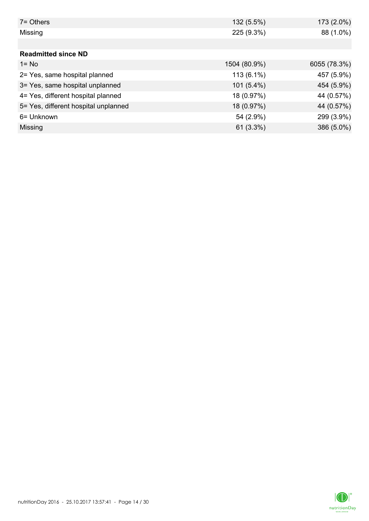| $7 =$ Others                         | 132 (5.5%)   | 173 (2.0%)   |
|--------------------------------------|--------------|--------------|
| Missing                              | 225 (9.3%)   | 88 (1.0%)    |
|                                      |              |              |
| <b>Readmitted since ND</b>           |              |              |
| $1 = No$                             | 1504 (80.9%) | 6055 (78.3%) |
| 2= Yes, same hospital planned        | 113 (6.1%)   | 457 (5.9%)   |
| 3= Yes, same hospital unplanned      | $101(5.4\%)$ | 454 (5.9%)   |
| 4= Yes, different hospital planned   | 18 (0.97%)   | 44 (0.57%)   |
| 5= Yes, different hospital unplanned | 18 (0.97%)   | 44 (0.57%)   |
| 6= Unknown                           | 54 (2.9%)    | 299 (3.9%)   |
| Missing                              | 61(3.3%)     | 386 (5.0%)   |

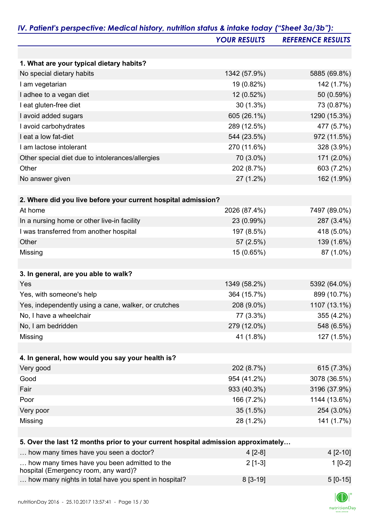|                                                                                      | <b>YOUR RESULTS</b> | <b>REFERENCE RESULTS</b> |
|--------------------------------------------------------------------------------------|---------------------|--------------------------|
|                                                                                      |                     |                          |
| 1. What are your typical dietary habits?                                             |                     |                          |
| No special dietary habits                                                            | 1342 (57.9%)        | 5885 (69.8%)             |
| I am vegetarian                                                                      | 19 (0.82%)          | 142 (1.7%)               |
| I adhee to a vegan diet                                                              | 12 (0.52%)          | 50 (0.59%)               |
| I eat gluten-free diet                                                               | 30(1.3%)            | 73 (0.87%)               |
| I avoid added sugars                                                                 | 605 (26.1%)         | 1290 (15.3%)             |
| I avoid carbohydrates                                                                | 289 (12.5%)         | 477 (5.7%)               |
| I eat a low fat-diet                                                                 | 544 (23.5%)         | 972 (11.5%)              |
| I am lactose intolerant                                                              | 270 (11.6%)         | 328 (3.9%)               |
| Other special diet due to intolerances/allergies                                     | 70 (3.0%)           | 171 (2.0%)               |
| Other                                                                                | 202 (8.7%)          | 603 (7.2%)               |
| No answer given                                                                      | 27 (1.2%)           | 162 (1.9%)               |
| 2. Where did you live before your current hospital admission?                        |                     |                          |
| At home                                                                              | 2026 (87.4%)        | 7497 (89.0%)             |
| In a nursing home or other live-in facility                                          | 23 (0.99%)          | 287 (3.4%)               |
| I was transferred from another hospital                                              | 197 (8.5%)          | 418 (5.0%)               |
| Other                                                                                | 57 (2.5%)           | 139 (1.6%)               |
| Missing                                                                              | 15 (0.65%)          | 87 (1.0%)                |
|                                                                                      |                     |                          |
| 3. In general, are you able to walk?                                                 |                     |                          |
| Yes                                                                                  | 1349 (58.2%)        | 5392 (64.0%)             |
| Yes, with someone's help                                                             | 364 (15.7%)         | 899 (10.7%)              |
| Yes, independently using a cane, walker, or crutches                                 | 208 (9.0%)          | 1107 (13.1%)             |
| No, I have a wheelchair                                                              | 77 (3.3%)           | 355 (4.2%)               |
| No, I am bedridden                                                                   | 279 (12.0%)         | 548 (6.5%)               |
| Missing                                                                              | 41 (1.8%)           | 127 (1.5%)               |
| 4. In general, how would you say your health is?                                     |                     |                          |
| Very good                                                                            | 202 (8.7%)          | 615 (7.3%)               |
| Good                                                                                 | 954 (41.2%)         | 3078 (36.5%)             |
| Fair                                                                                 | 933 (40.3%)         | 3196 (37.9%)             |
| Poor                                                                                 | 166 (7.2%)          | 1144 (13.6%)             |
| Very poor                                                                            | 35(1.5%)            | 254 (3.0%)               |
| Missing                                                                              | 28 (1.2%)           | 141 (1.7%)               |
|                                                                                      |                     |                          |
| 5. Over the last 12 months prior to your current hospital admission approximately    |                     |                          |
| how many times have you seen a doctor?                                               | $4[2-8]$            | $4[2-10]$                |
| how many times have you been admitted to the<br>hospital (Emergency room, any ward)? | $2[1-3]$            | $1[0-2]$                 |

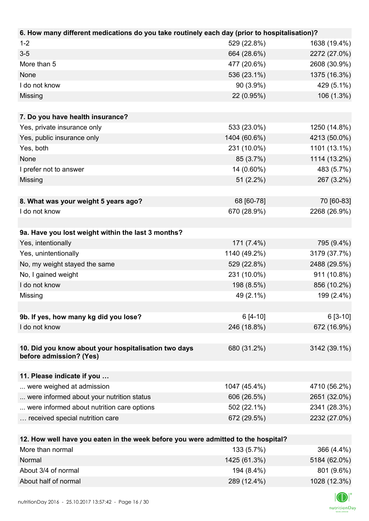| 6. How many different medications do you take routinely each day (prior to hospitalisation)? |                          |                                               |
|----------------------------------------------------------------------------------------------|--------------------------|-----------------------------------------------|
| $1 - 2$                                                                                      | 529 (22.8%)              | 1638 (19.4%)                                  |
| $3-5$                                                                                        | 664 (28.6%)              | 2272 (27.0%)                                  |
| More than 5                                                                                  | 477 (20.6%)              | 2608 (30.9%)                                  |
| None                                                                                         | 536 (23.1%)              | 1375 (16.3%)                                  |
| I do not know                                                                                | 90 (3.9%)                | 429 (5.1%)                                    |
| Missing                                                                                      | 22 (0.95%)               | 106 (1.3%)                                    |
|                                                                                              |                          |                                               |
| 7. Do you have health insurance?                                                             |                          |                                               |
| Yes, private insurance only                                                                  | 533 (23.0%)              | 1250 (14.8%)                                  |
| Yes, public insurance only                                                                   | 1404 (60.6%)             | 4213 (50.0%)                                  |
| Yes, both                                                                                    | 231 (10.0%)              | 1101 (13.1%)                                  |
| None                                                                                         | 85 (3.7%)                | 1114 (13.2%)                                  |
| I prefer not to answer                                                                       | 14 (0.60%)               | 483 (5.7%)                                    |
| Missing                                                                                      | $51(2.2\%)$              | 267 (3.2%)                                    |
|                                                                                              |                          |                                               |
| 8. What was your weight 5 years ago?                                                         | 68 [60-78]               | 70 [60-83]                                    |
| I do not know                                                                                | 670 (28.9%)              | 2268 (26.9%)                                  |
|                                                                                              |                          |                                               |
| 9a. Have you lost weight within the last 3 months?                                           |                          |                                               |
| Yes, intentionally                                                                           | 171 (7.4%)               | 795 (9.4%)                                    |
| Yes, unintentionally                                                                         | 1140 (49.2%)             | 3179 (37.7%)                                  |
| No, my weight stayed the same                                                                | 529 (22.8%)              | 2488 (29.5%)                                  |
| No, I gained weight                                                                          | 231 (10.0%)              | 911 (10.8%)                                   |
| I do not know                                                                                | 198 (8.5%)               | 856 (10.2%)                                   |
| Missing                                                                                      | 49 (2.1%)                | 199 (2.4%)                                    |
|                                                                                              |                          |                                               |
| 9b. If yes, how many kg did you lose?                                                        | $6[4-10]$                | $6[3-10]$                                     |
| I do not know                                                                                | 246 (18.8%)              | 672 (16.9%)                                   |
|                                                                                              |                          |                                               |
| 10. Did you know about your hospitalisation two days                                         | 680 (31.2%)              | 3142 (39.1%)                                  |
| before admission? (Yes)                                                                      |                          |                                               |
|                                                                                              |                          |                                               |
| 11. Please indicate if you                                                                   |                          |                                               |
| were weighed at admission                                                                    | 1047 (45.4%)             | 4710 (56.2%)                                  |
| were informed about your nutrition status                                                    | 606 (26.5%)              | 2651 (32.0%)                                  |
| were informed about nutrition care options                                                   | 502 (22.1%)              | 2341 (28.3%)                                  |
| received special nutrition care                                                              | 672 (29.5%)              | 2232 (27.0%)                                  |
|                                                                                              |                          |                                               |
| 12. How well have you eaten in the week before you were admitted to the hospital?            |                          |                                               |
| More than normal                                                                             | 133 (5.7%)<br>1105(0100) | 366 (4.4%)<br>$T A \Omega A$ (CO $\Omega N$ ) |

| ווטוווטור נוומוו זיטווו | 19919. <i>1</i> 707 | 000(7.70)    |
|-------------------------|---------------------|--------------|
| Normal                  | 1425 (61.3%)        | 5184 (62.0%) |
| About 3/4 of normal     | 194 (8.4%)          | 801 (9.6%)   |
| About half of normal    | 289 (12.4%)         | 1028 (12.3%) |

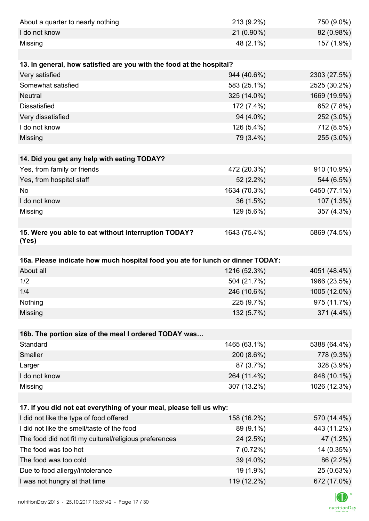| About a quarter to nearly nothing                                              | 213 (9.2%)               | 750 (9.0%)                |
|--------------------------------------------------------------------------------|--------------------------|---------------------------|
| I do not know                                                                  | 21 (0.90%)               | 82 (0.98%)                |
| Missing                                                                        | 48 (2.1%)                | 157 (1.9%)                |
|                                                                                |                          |                           |
| 13. In general, how satisfied are you with the food at the hospital?           |                          |                           |
| Very satisfied                                                                 | 944 (40.6%)              | 2303 (27.5%)              |
| Somewhat satisfied                                                             | 583 (25.1%)              | 2525 (30.2%)              |
| <b>Neutral</b>                                                                 | 325 (14.0%)              | 1669 (19.9%)              |
| <b>Dissatisfied</b>                                                            | 172 (7.4%)               | 652 (7.8%)                |
| Very dissatisfied                                                              | 94 (4.0%)                | 252 (3.0%)                |
| I do not know                                                                  | 126 (5.4%)               | 712 (8.5%)                |
| Missing                                                                        | 79 (3.4%)                | 255 (3.0%)                |
|                                                                                |                          |                           |
| 14. Did you get any help with eating TODAY?                                    |                          |                           |
| Yes, from family or friends                                                    | 472 (20.3%)              | 910 (10.9%)               |
| Yes, from hospital staff                                                       | 52 (2.2%)                | 544 (6.5%)                |
| <b>No</b>                                                                      | 1634 (70.3%)             | 6450 (77.1%)              |
| I do not know                                                                  | 36 (1.5%)                | 107 (1.3%)                |
| Missing                                                                        | 129 (5.6%)               | 357 (4.3%)                |
|                                                                                |                          |                           |
| 15. Were you able to eat without interruption TODAY?<br>(Yes)                  | 1643 (75.4%)             | 5869 (74.5%)              |
|                                                                                |                          |                           |
|                                                                                |                          |                           |
| 16a. Please indicate how much hospital food you ate for lunch or dinner TODAY: |                          |                           |
| About all                                                                      | 1216 (52.3%)             | 4051 (48.4%)              |
| 1/2                                                                            | 504 (21.7%)              | 1966 (23.5%)              |
| 1/4                                                                            | 246 (10.6%)              | 1005 (12.0%)              |
| Nothing                                                                        | 225 (9.7%)               | 975 (11.7%)               |
| Missing                                                                        | 132 (5.7%)               | 371 (4.4%)                |
|                                                                                |                          |                           |
| 16b. The portion size of the meal I ordered TODAY was                          |                          |                           |
| Standard                                                                       | 1465 (63.1%)             | 5388 (64.4%)              |
| Smaller                                                                        | 200 (8.6%)               | 778 (9.3%)                |
| Larger                                                                         | 87 (3.7%)                | 328 (3.9%)                |
| I do not know                                                                  | 264 (11.4%)              | 848 (10.1%)               |
| Missing                                                                        | 307 (13.2%)              | 1026 (12.3%)              |
|                                                                                |                          |                           |
| 17. If you did not eat everything of your meal, please tell us why:            |                          |                           |
| I did not like the type of food offered                                        | 158 (16.2%)              | 570 (14.4%)               |
| I did not like the smell/taste of the food                                     | 89 (9.1%)                | 443 (11.2%)               |
| The food did not fit my cultural/religious preferences                         | 24 (2.5%)                | 47 (1.2%)                 |
| The food was too hot                                                           | 7(0.72%)                 | 14 (0.35%)                |
| The food was too cold                                                          | 39 (4.0%)                | 86 (2.2%)                 |
| Due to food allergy/intolerance<br>I was not hungry at that time               | 19 (1.9%)<br>119 (12.2%) | 25 (0.63%)<br>672 (17.0%) |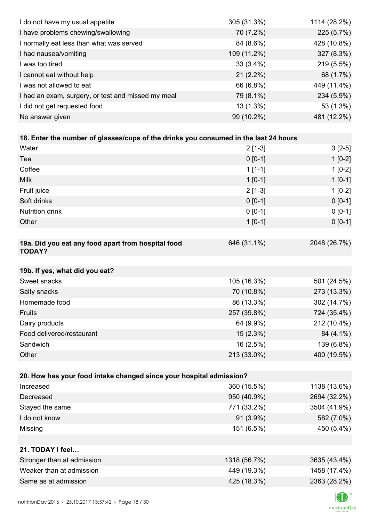| I do not have my usual appetite                                                      | 305 (31.3%)  | 1114 (28.2%) |
|--------------------------------------------------------------------------------------|--------------|--------------|
| I have problems chewing/swallowing                                                   | 70 (7.2%)    | 225 (5.7%)   |
| I normally eat less than what was served                                             | 84 (8.6%)    | 428 (10.8%)  |
| I had nausea/vomiting                                                                | 109 (11.2%)  | 327 (8.3%)   |
| I was too tired                                                                      | $33(3.4\%)$  | 219 (5.5%)   |
| I cannot eat without help                                                            | $21(2.2\%)$  | 68 (1.7%)    |
| I was not allowed to eat                                                             | 66 (6.8%)    | 449 (11.4%)  |
| I had an exam, surgery, or test and missed my meal                                   | 79 (8.1%)    | 234 (5.9%)   |
| I did not get requested food                                                         | 13 (1.3%)    | 53 (1.3%)    |
| No answer given                                                                      | 99 (10.2%)   | 481 (12.2%)  |
|                                                                                      |              |              |
| 18. Enter the number of glasses/cups of the drinks you consumed in the last 24 hours |              |              |
| Water                                                                                | $2[1-3]$     | $3[2-5]$     |
| Tea                                                                                  | $0 [0-1]$    | $1[0-2]$     |
| Coffee                                                                               | $1[1-1]$     | $1[0-2]$     |
| <b>Milk</b>                                                                          | $1 [0-1]$    | $1[0-1]$     |
| Fruit juice                                                                          | $2[1-3]$     | $1[0-2]$     |
| Soft drinks                                                                          | $0 [0-1]$    | $0[0-1]$     |
| <b>Nutrition drink</b>                                                               | $0 [0-1]$    | $0 [0-1]$    |
| Other                                                                                | $1[0-1]$     | $0 [0-1]$    |
|                                                                                      |              |              |
| 19a. Did you eat any food apart from hospital food<br><b>TODAY?</b>                  | 646 (31.1%)  | 2048 (26.7%) |
|                                                                                      |              |              |
| 19b. If yes, what did you eat?                                                       |              |              |
| Sweet snacks                                                                         | 105 (16.3%)  | 501 (24.5%)  |
| Salty snacks                                                                         | 70 (10.8%)   | 273 (13.3%)  |
| Homemade food                                                                        | 86 (13.3%)   | 302 (14.7%)  |
| Fruits                                                                               | 257 (39.8%)  | 724 (35.4%)  |
| Dairy products                                                                       | 64 (9.9%)    | 212 (10.4%)  |
| Food delivered/restaurant                                                            | 15(2.3%)     | 84 (4.1%)    |
| Sandwich                                                                             | 16 (2.5%)    | 139 (6.8%)   |
| Other                                                                                | 213 (33.0%)  | 400 (19.5%)  |
|                                                                                      |              |              |
| 20. How has your food intake changed since your hospital admission?                  |              |              |
| Increased                                                                            | 360 (15.5%)  | 1138 (13.6%) |
| Decreased                                                                            | 950 (40.9%)  | 2694 (32.2%) |
| Stayed the same                                                                      | 771 (33.2%)  | 3504 (41.9%) |
| I do not know                                                                        | 91 (3.9%)    | 582 (7.0%)   |
| Missing                                                                              | 151 (6.5%)   | 450 (5.4%)   |
| 21. TODAY I feel                                                                     |              |              |
| Stronger than at admission                                                           | 1318 (56.7%) | 3635 (43.4%) |
| Weaker than at admission                                                             | 449 (19.3%)  | 1458 (17.4%) |
| Same as at admission                                                                 | 425 (18.3%)  | 2363 (28.2%) |
|                                                                                      |              |              |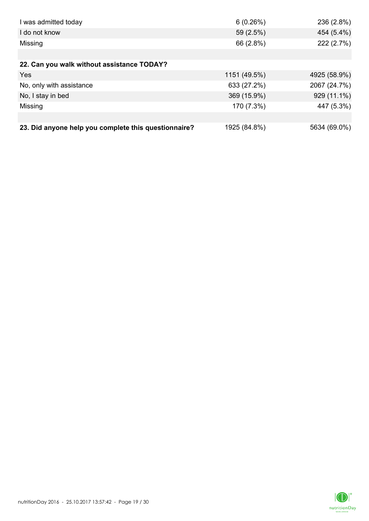| I was admitted today                                 | 6(0.26%)     | 236 (2.8%)   |
|------------------------------------------------------|--------------|--------------|
| I do not know                                        | 59 (2.5%)    | 454 (5.4%)   |
| Missing                                              | 66 (2.8%)    | 222 (2.7%)   |
|                                                      |              |              |
| 22. Can you walk without assistance TODAY?           |              |              |
| <b>Yes</b>                                           | 1151 (49.5%) | 4925 (58.9%) |
| No, only with assistance                             | 633 (27.2%)  | 2067 (24.7%) |
| No, I stay in bed                                    | 369 (15.9%)  | 929 (11.1%)  |
| Missing                                              | 170 (7.3%)   | 447 (5.3%)   |
|                                                      |              |              |
| 23. Did anyone help you complete this questionnaire? | 1925 (84.8%) | 5634 (69.0%) |

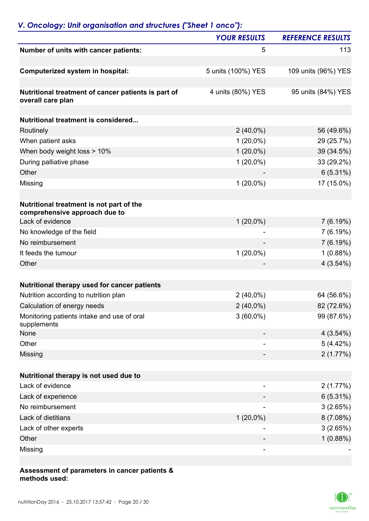## *V. Oncology: Unit organisation and structures ("Sheet 1 onco"):*

|                                                                           | <b>YOUR RESULTS</b> | <b>REFERENCE RESULTS</b> |
|---------------------------------------------------------------------------|---------------------|--------------------------|
| Number of units with cancer patients:                                     | 5                   | 113                      |
| Computerized system in hospital:                                          | 5 units (100%) YES  | 109 units (96%) YES      |
| Nutritional treatment of cancer patients is part of<br>overall care plan  | 4 units (80%) YES   | 95 units (84%) YES       |
| Nutritional treatment is considered                                       |                     |                          |
| Routinely                                                                 | $2(40,0\%)$         | 56 (49.6%)               |
| When patient asks                                                         | $1(20,0\%)$         | 29 (25.7%)               |
| When body weight loss > 10%                                               | $1(20,0\%)$         | 39 (34.5%)               |
| During palliative phase                                                   | $1(20,0\%)$         | 33 (29.2%)               |
| Other                                                                     |                     | $6(5.31\%)$              |
|                                                                           | $1(20,0\%)$         | 17 (15.0%)               |
| Missing                                                                   |                     |                          |
| Nutritional treatment is not part of the<br>comprehensive approach due to |                     |                          |
| Lack of evidence                                                          | $1(20,0\%)$         | 7(6.19%)                 |
| No knowledge of the field                                                 |                     | 7(6.19%)                 |
| No reimbursement                                                          |                     | 7(6.19%)                 |
| It feeds the tumour                                                       | $1(20,0\%)$         | 1(0.88%)                 |
| Other                                                                     |                     | 4(3.54%)                 |
| Nutritional therapy used for cancer patients                              |                     |                          |
| Nutrition according to nutrition plan                                     | $2(40,0\%)$         | 64 (56.6%)               |
| Calculation of energy needs                                               | $2(40,0\%)$         | 82 (72.6%)               |
| Monitoring patients intake and use of oral<br>supplements                 | $3(60,0\%)$         | 99 (87.6%)               |
| None                                                                      |                     | 4(3.54%)                 |
| Other                                                                     |                     | 5(4.42%)                 |
| Missing                                                                   |                     | 2(1.77%)                 |
| Nutritional therapy is not used due to                                    |                     |                          |
| Lack of evidence                                                          |                     | 2(1.77%)                 |
| Lack of experience                                                        |                     | 6(5.31%)                 |
| No reimbursement                                                          |                     | 3(2.65%)                 |
| Lack of dietitians                                                        | $1(20,0\%)$         | 8(7.08%)                 |
| Lack of other experts                                                     |                     | 3(2.65%)                 |
| Other                                                                     |                     | 1(0.88%)                 |
| Missing                                                                   |                     |                          |
|                                                                           |                     |                          |

#### **Assessment of parameters in cancer patients & methods used:**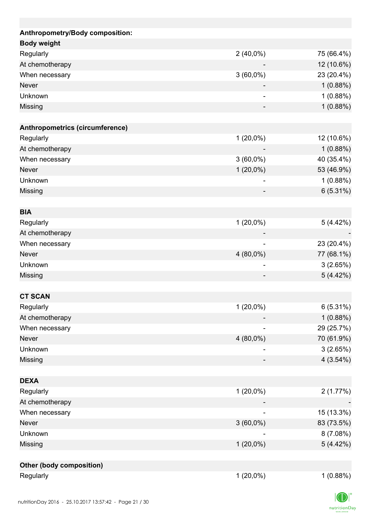| Anthropometry/Body composition: |             |             |
|---------------------------------|-------------|-------------|
| <b>Body weight</b>              |             |             |
| Regularly                       | $2(40,0\%)$ | 75 (66.4%)  |
| At chemotherapy                 |             | 12 (10.6%)  |
| When necessary                  | $3(60,0\%)$ | 23 (20.4%)  |
| <b>Never</b>                    |             | 1(0.88%)    |
| Unknown                         | ۰           | 1(0.88%)    |
| Missing                         |             | 1(0.88%)    |
| Anthropometrics (circumference) |             |             |
| Regularly                       | $1(20,0\%)$ | 12 (10.6%)  |
| At chemotherapy                 |             | 1(0.88%)    |
| When necessary                  | $3(60,0\%)$ | 40 (35.4%)  |
| <b>Never</b>                    | $1(20,0\%)$ | 53 (46.9%)  |
| Unknown                         |             | 1(0.88%)    |
| <b>Missing</b>                  |             | $6(5.31\%)$ |
|                                 |             |             |
| <b>BIA</b>                      |             |             |
| Regularly                       | $1(20,0\%)$ | 5(4.42%)    |
| At chemotherapy                 |             |             |
| When necessary                  |             | 23 (20.4%)  |
| <b>Never</b>                    | 4 (80,0%)   | 77 (68.1%)  |
| Unknown                         |             | 3(2.65%)    |
| Missing                         |             | 5(4.42%)    |
|                                 |             |             |
| <b>CT SCAN</b>                  |             |             |
| Regularly                       | $1(20,0\%)$ | 6(5.31%)    |
| At chemotherapy                 |             | 1(0.88%)    |
| When necessary                  |             | 29 (25.7%)  |
| <b>Never</b>                    | 4 (80,0%)   | 70 (61.9%)  |
| Unknown                         |             | 3(2.65%)    |
| Missing                         |             | $4(3.54\%)$ |
|                                 |             |             |
| <b>DEXA</b>                     |             |             |
| Regularly                       | $1(20,0\%)$ | 2(1.77%)    |
| At chemotherapy                 |             |             |
| When necessary                  |             | 15 (13.3%)  |
| <b>Never</b>                    | $3(60,0\%)$ | 83 (73.5%)  |
| Unknown                         |             | 8(7.08%)    |
| Missing                         | $1(20,0\%)$ | 5 (4.42%)   |
| Other (body composition)        |             |             |
| Regularly                       | $1(20,0\%)$ | 1(0.88%)    |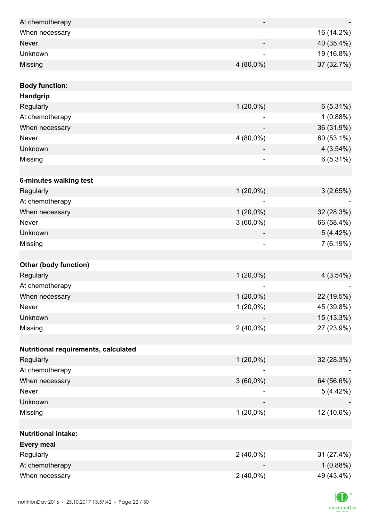| At chemotherapy                      | -                        | $\overline{\phantom{a}}$ |
|--------------------------------------|--------------------------|--------------------------|
| When necessary                       |                          | 16 (14.2%)               |
| <b>Never</b>                         |                          | 40 (35.4%)               |
| Unknown                              |                          | 19 (16.8%)               |
| Missing                              | $4(80,0\%)$              | 37 (32.7%)               |
|                                      |                          |                          |
| <b>Body function:</b>                |                          |                          |
| Handgrip                             |                          |                          |
| Regularly                            | $1(20,0\%)$              | $6(5.31\%)$              |
| At chemotherapy                      |                          | 1(0.88%)                 |
| When necessary                       |                          | 36 (31.9%)               |
| Never                                | 4 (80,0%)                | 60 (53.1%)               |
| Unknown                              |                          | 4(3.54%)                 |
| Missing                              | $\overline{\phantom{0}}$ | 6(5.31%)                 |
|                                      |                          |                          |
| 6-minutes walking test               |                          |                          |
| Regularly                            | $1(20,0\%)$              | 3(2.65%)                 |
| At chemotherapy                      |                          |                          |
| When necessary                       | $1(20,0\%)$              | 32 (28.3%)               |
| <b>Never</b>                         | $3(60,0\%)$              | 66 (58.4%)               |
| Unknown                              |                          | 5(4.42%)                 |
| Missing                              |                          | 7(6.19%)                 |
|                                      |                          |                          |
| <b>Other (body function)</b>         |                          |                          |
| Regularly                            | $1(20,0\%)$              | 4(3.54%)                 |
| At chemotherapy                      |                          |                          |
| When necessary                       | $1(20,0\%)$              | 22 (19.5%)               |
| <b>Never</b>                         | $1(20,0\%)$              | 45 (39.8%)               |
| Unknown                              |                          | 15 (13.3%)               |
| Missing                              | $2(40,0\%)$              | 27 (23.9%)               |
|                                      |                          |                          |
| Nutritional requirements, calculated |                          |                          |
| Regularly                            | $1(20,0\%)$              | 32 (28.3%)               |
| At chemotherapy                      |                          |                          |
| When necessary                       | $3(60,0\%)$              | 64 (56.6%)               |
| Never                                |                          | 5(4.42%)                 |
| Unknown                              |                          |                          |
| Missing                              | $1(20,0\%)$              | 12 (10.6%)               |
|                                      |                          |                          |
| <b>Nutritional intake:</b>           |                          |                          |
| <b>Every meal</b>                    |                          |                          |
| Regularly                            | $2(40,0\%)$              | 31 (27.4%)               |
| At chemotherapy                      |                          | 1(0.88%)                 |
| When necessary                       | $2(40,0\%)$              | 49 (43.4%)               |

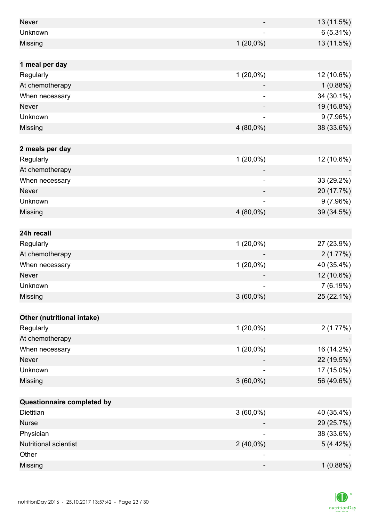| <b>Never</b>               |                          | 13 (11.5%)  |
|----------------------------|--------------------------|-------------|
| Unknown                    |                          | $6(5.31\%)$ |
| Missing                    | $1(20,0\%)$              | 13 (11.5%)  |
|                            |                          |             |
| 1 meal per day             |                          |             |
| Regularly                  | $1(20,0\%)$              | 12 (10.6%)  |
| At chemotherapy            |                          | 1(0.88%)    |
| When necessary             |                          | 34 (30.1%)  |
| <b>Never</b>               |                          | 19 (16.8%)  |
| Unknown                    |                          | 9(7.96%)    |
| Missing                    | 4 (80,0%)                | 38 (33.6%)  |
|                            |                          |             |
| 2 meals per day            |                          |             |
| Regularly                  | $1(20,0\%)$              | 12 (10.6%)  |
| At chemotherapy            |                          |             |
| When necessary             | $\overline{\phantom{0}}$ | 33 (29.2%)  |
| <b>Never</b>               |                          | 20 (17.7%)  |
| Unknown                    | ۰                        | 9(7.96%)    |
| Missing                    | 4 (80,0%)                | 39 (34.5%)  |
|                            |                          |             |
| 24h recall                 |                          |             |
| Regularly                  | $1(20,0\%)$              | 27 (23.9%)  |
| At chemotherapy            |                          | 2(1.77%)    |
| When necessary             | $1(20,0\%)$              | 40 (35.4%)  |
| <b>Never</b>               |                          | 12 (10.6%)  |
| Unknown                    | -                        | 7(6.19%)    |
| Missing                    | $3(60,0\%)$              | 25 (22.1%)  |
|                            |                          |             |
| Other (nutritional intake) |                          |             |
| Regularly                  | $1(20,0\%)$              | 2(1.77%)    |
| At chemotherapy            |                          |             |
| When necessary             | $1(20,0\%)$              | 16 (14.2%)  |
| Never                      |                          | 22 (19.5%)  |
| Unknown                    |                          | 17 (15.0%)  |
| Missing                    | $3(60,0\%)$              | 56 (49.6%)  |
|                            |                          |             |
| Questionnaire completed by |                          |             |
| Dietitian                  | $3(60,0\%)$              | 40 (35.4%)  |
| <b>Nurse</b>               |                          | 29 (25.7%)  |
| Physician                  |                          | 38 (33.6%)  |
| Nutritional scientist      | $2(40,0\%)$              | 5(4.42%)    |
| Other                      |                          |             |
| Missing                    | -                        | 1(0.88%)    |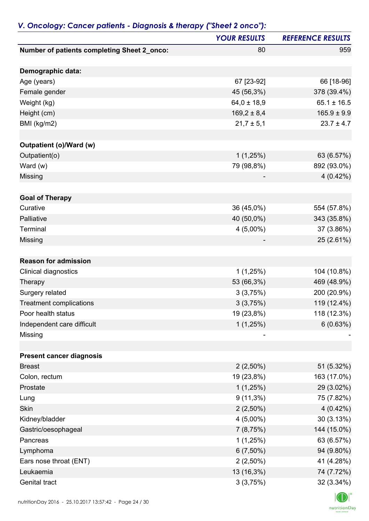|                                             | <b>YOUR RESULTS</b> | <b>REFERENCE RESULTS</b> |
|---------------------------------------------|---------------------|--------------------------|
| Number of patients completing Sheet 2_onco: | 80                  | 959                      |
| Demographic data:                           |                     |                          |
| Age (years)                                 | 67 [23-92]          | 66 [18-96]               |
| Female gender                               | 45 (56,3%)          | 378 (39.4%)              |
| Weight (kg)                                 | $64,0 \pm 18,9$     | $65.1 \pm 16.5$          |
| Height (cm)                                 | $169,2 \pm 8,4$     | $165.9 \pm 9.9$          |
| BMI (kg/m2)                                 | $21,7 \pm 5,1$      | $23.7 \pm 4.7$           |
| <b>Outpatient (o)/Ward (w)</b>              |                     |                          |
| Outpatient(o)                               | 1(1,25%)            | 63 (6.57%)               |
| Ward (w)                                    | 79 (98,8%)          | 892 (93.0%)              |
| Missing                                     |                     | $4(0.42\%)$              |
| <b>Goal of Therapy</b>                      |                     |                          |
| Curative                                    | 36 (45,0%)          | 554 (57.8%)              |
| Palliative                                  | 40 (50,0%)          | 343 (35.8%)              |
| Terminal                                    | $4(5,00\%)$         | 37 (3.86%)               |
| Missing                                     |                     | 25 (2.61%)               |
| <b>Reason for admission</b>                 |                     |                          |
| Clinical diagnostics                        | 1(1,25%)            | 104 (10.8%)              |
| Therapy                                     | 53 (66,3%)          | 469 (48.9%)              |
| Surgery related                             | 3(3,75%)            | 200 (20.9%)              |
| <b>Treatment complications</b>              | 3(3,75%)            | 119 (12.4%)              |
| Poor health status                          | 19 (23,8%)          | 118 (12.3%)              |
| Independent care difficult                  | 1(1,25%)            | 6(0.63%)                 |
| Missing                                     |                     |                          |
|                                             |                     |                          |
| <b>Present cancer diagnosis</b>             |                     |                          |
| <b>Breast</b>                               | $2(2,50\%)$         | 51 (5.32%)               |
| Colon, rectum                               | 19 (23,8%)          | 163 (17.0%)              |
| Prostate                                    | 1(1,25%)            | 29 (3.02%)               |
| Lung                                        | $9(11,3\%)$         | 75 (7.82%)               |
| Skin                                        | $2(2,50\%)$         | $4(0.42\%)$              |
| Kidney/bladder                              | $4(5,00\%)$         | 30(3.13%)                |
| Gastric/oesophageal                         | 7(8,75%)            | 144 (15.0%)              |
| Pancreas                                    | 1(1,25%)            | 63 (6.57%)               |
| Lymphoma                                    | $6(7,50\%)$         | 94 (9.80%)               |
| Ears nose throat (ENT)<br>Leukaemia         | $2(2,50\%)$         | 41 (4.28%)               |
| Genital tract                               | 13 (16,3%)          | 74 (7.72%)               |
|                                             | 3(3,75%)            | 32 (3.34%)               |

### *V. Oncology: Cancer patients - Diagnosis & therapy ("Sheet 2 onco"):*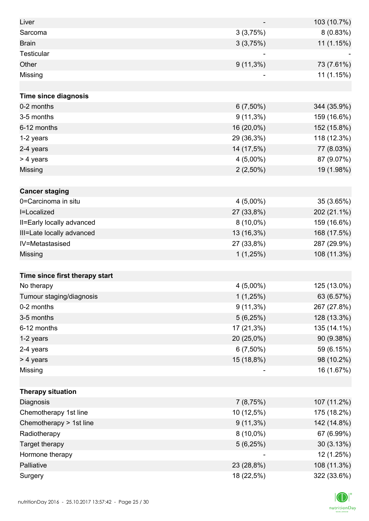| Liver                          |                          | 103 (10.7%) |
|--------------------------------|--------------------------|-------------|
| Sarcoma                        | 3(3,75%)                 | 8(0.83%)    |
| <b>Brain</b>                   | 3(3,75%)                 | 11 (1.15%)  |
| Testicular                     |                          |             |
| Other                          | $9(11,3\%)$              | 73 (7.61%)  |
| Missing                        |                          | 11 (1.15%)  |
|                                |                          |             |
| <b>Time since diagnosis</b>    |                          |             |
| 0-2 months                     | $6(7,50\%)$              | 344 (35.9%) |
| 3-5 months                     | $9(11,3\%)$              | 159 (16.6%) |
| 6-12 months                    | 16 (20,0%)               | 152 (15.8%) |
| 1-2 years                      | 29 (36,3%)               | 118 (12.3%) |
| 2-4 years                      | 14 (17,5%)               | 77 (8.03%)  |
| > 4 years                      | $4(5,00\%)$              | 87 (9.07%)  |
| Missing                        | $2(2,50\%)$              | 19 (1.98%)  |
|                                |                          |             |
| <b>Cancer staging</b>          |                          |             |
| 0=Carcinoma in situ            | $4(5,00\%)$              | 35 (3.65%)  |
| I=Localized                    | 27 (33,8%)               | 202 (21.1%) |
| II=Early locally advanced      | $8(10,0\%)$              | 159 (16.6%) |
| III=Late locally advanced      | 13 (16,3%)               | 168 (17.5%) |
| IV=Metastasised                | 27 (33,8%)               | 287 (29.9%) |
| Missing                        | 1(1,25%)                 | 108 (11.3%) |
|                                |                          |             |
| Time since first therapy start |                          |             |
| No therapy                     | $4(5,00\%)$              | 125 (13.0%) |
| Tumour staging/diagnosis       | 1(1,25%)                 | 63 (6.57%)  |
| 0-2 months                     | $9(11,3\%)$              | 267 (27.8%) |
| 3-5 months                     | 5(6,25%)                 | 128 (13.3%) |
| 6-12 months                    | 17 (21,3%)               | 135 (14.1%) |
| 1-2 years                      | 20 (25,0%)               | 90 (9.38%)  |
| 2-4 years                      | $6(7,50\%)$              | 59 (6.15%)  |
| > 4 years                      | 15 (18,8%)               | 98 (10.2%)  |
| Missing                        | $\overline{\phantom{a}}$ | 16 (1.67%)  |
|                                |                          |             |
| <b>Therapy situation</b>       |                          |             |
| Diagnosis                      | 7(8,75%)                 | 107 (11.2%) |
| Chemotherapy 1st line          | 10 (12,5%)               | 175 (18.2%) |
| Chemotherapy > 1st line        | $9(11,3\%)$              | 142 (14.8%) |
| Radiotherapy                   | $8(10,0\%)$              | 67 (6.99%)  |
| Target therapy                 | 5(6,25%)                 | 30(3.13%)   |
| Hormone therapy                |                          | 12 (1.25%)  |
| Palliative                     | 23 (28,8%)               | 108 (11.3%) |
| Surgery                        | 18 (22,5%)               | 322 (33.6%) |

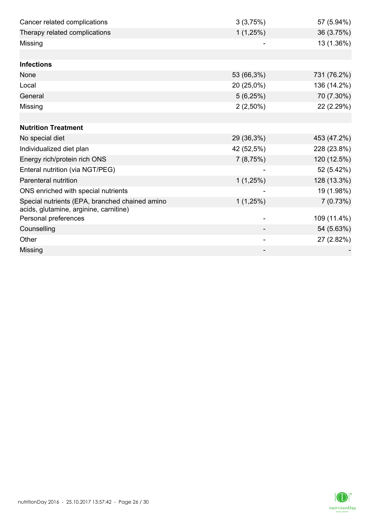| Cancer related complications                   | 3(3,75%)    | 57 (5.94%)  |
|------------------------------------------------|-------------|-------------|
| Therapy related complications                  | 1(1,25%)    | 36 (3.75%)  |
| Missing                                        |             | 13 (1.36%)  |
|                                                |             |             |
| <b>Infections</b>                              |             |             |
| None                                           | 53 (66,3%)  | 731 (76.2%) |
| Local                                          | 20 (25,0%)  | 136 (14.2%) |
| General                                        | 5(6,25%)    | 70 (7.30%)  |
| Missing                                        | $2(2,50\%)$ | 22 (2.29%)  |
|                                                |             |             |
| <b>Nutrition Treatment</b>                     |             |             |
| No special diet                                | 29 (36,3%)  | 453 (47.2%) |
| Individualized diet plan                       | 42 (52,5%)  | 228 (23.8%) |
| Energy rich/protein rich ONS                   | 7(8,75%)    | 120 (12.5%) |
| Enteral nutrition (via NGT/PEG)                |             | 52 (5.42%)  |
| Parenteral nutrition                           | 1(1,25%)    | 128 (13.3%) |
| ONS enriched with special nutrients            |             | 19 (1.98%)  |
| Special nutrients (EPA, branched chained amino | 1(1,25%)    | 7(0.73%)    |
| acids, glutamine, arginine, carnitine)         |             |             |
| Personal preferences                           |             | 109 (11.4%) |
| Counselling                                    |             | 54 (5.63%)  |
| Other                                          |             | 27 (2.82%)  |
| Missing                                        |             |             |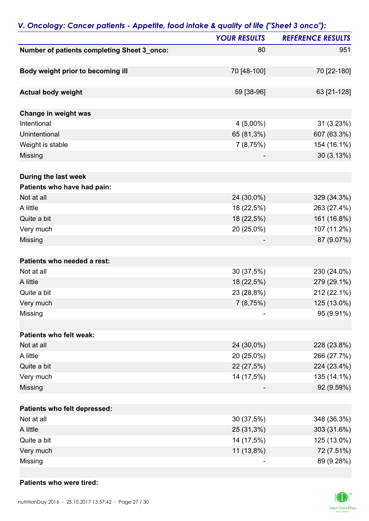| P                                           | <b>YOUR RESULTS</b> | <b>REFERENCE RESULTS</b> |
|---------------------------------------------|---------------------|--------------------------|
| Number of patients completing Sheet 3_onco: | 80                  | 951                      |
|                                             |                     |                          |
| Body weight prior to becoming ill           | 70 [48-100]         | 70 [22-180]              |
|                                             |                     |                          |
| <b>Actual body weight</b>                   | 59 [38-96]          | 63 [21-128]              |
|                                             |                     |                          |
| Change in weight was                        |                     |                          |
| Intentional                                 | $4(5,00\%)$         | 31 (3.23%)               |
| Unintentional                               | 65 (81,3%)          | 607 (63.3%)              |
| Weight is stable                            | 7(8,75%)            | 154 (16.1%)              |
| Missing                                     |                     | 30 (3.13%)               |
|                                             |                     |                          |
| During the last week                        |                     |                          |
| Patients who have had pain:                 |                     |                          |
| Not at all                                  | 24 (30,0%)          | 329 (34.3%)              |
| A little                                    | 18 (22,5%)          | 263 (27.4%)              |
| Quite a bit                                 | 18 (22,5%)          | 161 (16.8%)              |
| Very much                                   | 20 (25,0%)          | 107 (11.2%)              |
| Missing                                     |                     | 87 (9.07%)               |
|                                             |                     |                          |
| Patients who needed a rest:                 |                     |                          |
| Not at all                                  | 30 (37,5%)          | 230 (24.0%)              |
| A little                                    | 18 (22,5%)          | 279 (29.1%)              |
| Quite a bit                                 | 23 (28,8%)          | 212 (22.1%)              |
| Very much                                   | 7 (8,75%)           | 125 (13.0%)              |
| Missing                                     |                     | 95 (9.91%)               |
|                                             |                     |                          |
| Patients who felt weak:                     |                     |                          |
| Not at all                                  | 24 (30,0%)          | 228 (23.8%)              |
| A little                                    | 20 (25,0%)          | 266 (27.7%)              |
| Quite a bit                                 | 22 (27,5%)          | 224 (23.4%)              |
| Very much                                   | 14 (17,5%)          | 135 (14.1%)              |
| Missing                                     |                     | 92 (9.59%)               |
|                                             |                     |                          |
| Patients who felt depressed:                |                     |                          |
| Not at all                                  | 30 (37,5%)          | 348 (36.3%)              |
| A little                                    | 25 (31,3%)          | 303 (31.6%)              |
| Quite a bit                                 | 14 (17,5%)          | 125 (13.0%)              |
| Very much                                   | 11 (13,8%)          | 72 (7.51%)               |
| Missing                                     |                     | 89 (9.28%)               |

### *V. Oncology: Cancer patients - Appetite, food intake & quality of life ("Sheet 3 onco"):*

#### **Patients who were tired:**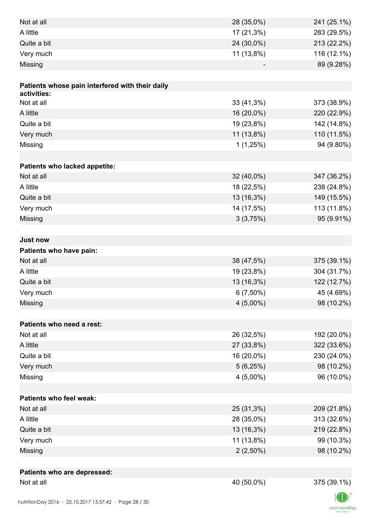| Not at all                                      | 28 (35,0%)  | 241 (25.1%) |
|-------------------------------------------------|-------------|-------------|
| A little                                        | 17 (21,3%)  | 283 (29.5%) |
| Quite a bit                                     | 24 (30,0%)  | 213 (22.2%) |
| Very much                                       | 11 (13,8%)  | 116 (12.1%) |
| Missing                                         |             | 89 (9.28%)  |
|                                                 |             |             |
| Patients whose pain interfered with their daily |             |             |
| activities:                                     |             |             |
| Not at all                                      | 33 (41,3%)  | 373 (38.9%) |
| A little                                        | 16 (20,0%)  | 220 (22.9%) |
| Quite a bit                                     | 19 (23,8%)  | 142 (14.8%) |
| Very much                                       | 11 (13,8%)  | 110 (11.5%) |
| Missing                                         | 1(1,25%)    | 94 (9.80%)  |
|                                                 |             |             |
| Patients who lacked appetite:                   |             |             |
| Not at all                                      | 32 (40,0%)  | 347 (36.2%) |
| A little                                        | 18 (22,5%)  | 238 (24.8%) |
| Quite a bit                                     | 13 (16,3%)  | 149 (15.5%) |
| Very much                                       | 14 (17,5%)  | 113 (11.8%) |
| Missing                                         | 3(3,75%)    | 95 (9.91%)  |
|                                                 |             |             |
| <b>Just now</b>                                 |             |             |
| Patients who have pain:                         |             |             |
| Not at all                                      | 38 (47,5%)  | 375 (39.1%) |
| A little                                        | 19 (23,8%)  | 304 (31.7%) |
| Quite a bit                                     | 13 (16,3%)  | 122 (12.7%) |
| Very much                                       | $6(7,50\%)$ | 45 (4.69%)  |
| Missing                                         | $4(5,00\%)$ | 98 (10.2%)  |
|                                                 |             |             |
| Patients who need a rest:                       |             |             |
| Not at all                                      | 26 (32,5%)  | 192 (20.0%) |
| A little                                        | 27 (33,8%)  | 322 (33.6%) |
| Quite a bit                                     | 16 (20,0%)  | 230 (24.0%) |
| Very much                                       | 5(6,25%)    | 98 (10.2%)  |
| Missing                                         | $4(5,00\%)$ | 96 (10.0%)  |
|                                                 |             |             |
| <b>Patients who feel weak:</b>                  |             |             |
| Not at all                                      | 25 (31,3%)  | 209 (21.8%) |
| A little                                        | 28 (35,0%)  | 313 (32.6%) |
| Quite a bit                                     | 13 (16,3%)  | 219 (22.8%) |
| Very much                                       | 11 (13,8%)  | 99 (10.3%)  |
| Missing                                         | $2(2,50\%)$ | 98 (10.2%)  |
|                                                 |             |             |
| Patients who are depressed:                     |             |             |
| Not at all                                      | 40 (50,0%)  | 375 (39.1%) |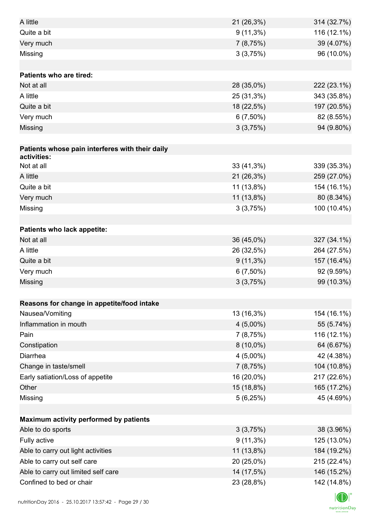| A little                                        | 21 (26,3%)   | 314 (32.7%) |
|-------------------------------------------------|--------------|-------------|
| Quite a bit                                     | $9(11,3\%)$  | 116 (12.1%) |
| Very much                                       | 7(8,75%)     | 39 (4.07%)  |
| Missing                                         | 3(3,75%)     | 96 (10.0%)  |
|                                                 |              |             |
| <b>Patients who are tired:</b>                  |              |             |
| Not at all                                      | 28 (35,0%)   | 222 (23.1%) |
| A little                                        | 25 (31,3%)   | 343 (35.8%) |
| Quite a bit                                     | 18 (22,5%)   | 197 (20.5%) |
| Very much                                       | $6(7,50\%)$  | 82 (8.55%)  |
| Missing                                         | 3(3,75%)     | 94 (9.80%)  |
|                                                 |              |             |
| Patients whose pain interferes with their daily |              |             |
| activities:                                     |              |             |
| Not at all                                      | $33(41,3\%)$ | 339 (35.3%) |
| A little                                        | 21 (26,3%)   | 259 (27.0%) |
| Quite a bit                                     | 11 (13,8%)   | 154 (16.1%) |
| Very much                                       | 11 (13,8%)   | 80 (8.34%)  |
| Missing                                         | 3(3,75%)     | 100 (10.4%) |
|                                                 |              |             |
| Patients who lack appetite:                     |              |             |
| Not at all                                      | 36 (45,0%)   | 327 (34.1%) |
| A little                                        | 26 (32,5%)   | 264 (27.5%) |
| Quite a bit                                     | $9(11,3\%)$  | 157 (16.4%) |
| Very much                                       | $6(7,50\%)$  | 92 (9.59%)  |
| Missing                                         | 3(3,75%)     | 99 (10.3%)  |
|                                                 |              |             |
| Reasons for change in appetite/food intake      |              |             |
| Nausea/Vomiting                                 | 13 (16,3%)   | 154 (16.1%) |
| Inflammation in mouth                           | $4(5,00\%)$  | 55 (5.74%)  |
| Pain                                            | 7(8,75%)     | 116 (12.1%) |
| Constipation                                    | $8(10,0\%)$  | 64 (6.67%)  |
| Diarrhea                                        | $4(5,00\%)$  | 42 (4.38%)  |
| Change in taste/smell                           | 7(8,75%)     | 104 (10.8%) |
| Early satiation/Loss of appetite                | 16 (20,0%)   | 217 (22.6%) |
| Other                                           | 15 (18,8%)   | 165 (17.2%) |
| Missing                                         | 5(6,25%)     | 45 (4.69%)  |
|                                                 |              |             |
| Maximum activity performed by patients          |              |             |
| Able to do sports                               | 3(3,75%)     | 38 (3.96%)  |
| Fully active                                    | $9(11,3\%)$  | 125 (13.0%) |
| Able to carry out light activities              | 11 (13,8%)   | 184 (19.2%) |
| Able to carry out self care                     | 20 (25,0%)   | 215 (22.4%) |
| Able to carry out limited self care             | 14 (17,5%)   | 146 (15.2%) |
| Confined to bed or chair                        | 23 (28,8%)   | 142 (14.8%) |